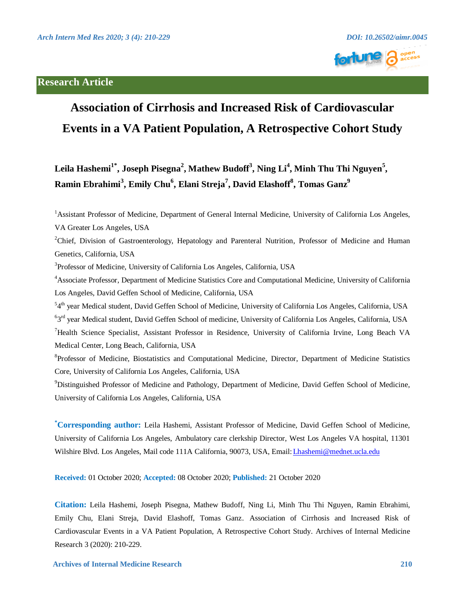### **Research Article**



## **Association of Cirrhosis and Increased Risk of Cardiovascular Events in a VA Patient Population, A Retrospective Cohort Study**

 $\mathbf{L}$ eila Hashemi $^{1^*}$ , Joseph Pisegna $^2$ , Mathew Budoff $^3$ , Ning Li $^4$ , Minh Thu Thi Nguyen $^5$ ,  $\bold{R}$ amin Ebrahimi $^3$ , Emily Chu $^6$ , Elani Streja $^7$ , David Elashoff $^8$ , Tomas Ganz $^9$ 

<sup>1</sup> Assistant Professor of Medicine, Department of General Internal Medicine, University of California Los Angeles, VA Greater Los Angeles, USA

<sup>2</sup>Chief, Division of Gastroenterology, Hepatology and Parenteral Nutrition, Professor of Medicine and Human Genetics, California, USA

3 Professor of Medicine, University of California Los Angeles, California, USA

4 Associate Professor, Department of Medicine Statistics Core and Computational Medicine, University of California Los Angeles, David Geffen School of Medicine, California, USA

<sup>54th</sup> year Medical student, David Geffen School of Medicine, University of California Los Angeles, California, USA

<sup>6</sup>3<sup>rd</sup> year Medical student, David Geffen School of medicine, University of California Los Angeles, California, USA

<sup>7</sup>Health Science Specialist, Assistant Professor in Residence, University of California Irvine, Long Beach VA Medical Center, Long Beach, California, USA

<sup>8</sup>Professor of Medicine, Biostatistics and Computational Medicine, Director, Department of Medicine Statistics Core, University of California Los Angeles, California, USA

<sup>9</sup>Distinguished Professor of Medicine and Pathology, Department of Medicine, David Geffen School of Medicine, University of California Los Angeles, California, USA

**\* Corresponding author:** Leila Hashemi, Assistant Professor of Medicine, David Geffen School of Medicine, University of California Los Angeles, Ambulatory care clerkship Director, West Los Angeles VA hospital, 11301 Wilshire Blvd. Los Angeles, Mail code 111A California, 90073, USA, Email[: Lhashemi@mednet.ucla.edu](mailto:Lhashemi@mednet.ucla.edu) 

**Received:** 01 October 2020; **Accepted:** 08 October 2020; **Published:** 21 October 2020

**Citation:** Leila Hashemi, Joseph Pisegna, Mathew Budoff, Ning Li, Minh Thu Thi Nguyen, Ramin Ebrahimi, Emily Chu, Elani Streja, David Elashoff, Tomas Ganz. Association of Cirrhosis and Increased Risk of Cardiovascular Events in a VA Patient Population, A Retrospective Cohort Study. Archives of Internal Medicine Research 3 (2020): 210-229.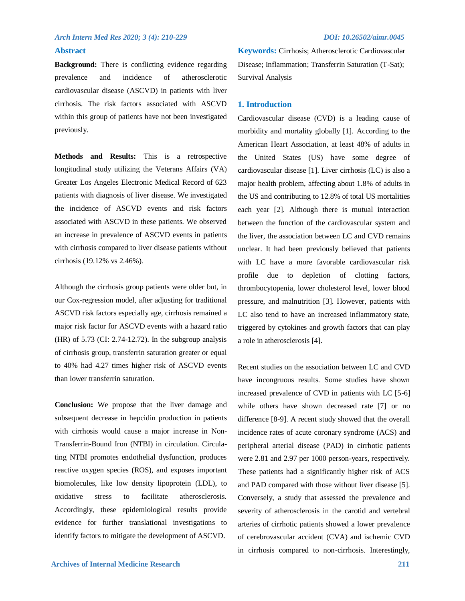### **Abstract**

**Background:** There is conflicting evidence regarding prevalence and incidence of atherosclerotic cardiovascular disease (ASCVD) in patients with liver cirrhosis. The risk factors associated with ASCVD within this group of patients have not been investigated previously.

**Methods and Results:** This is a retrospective longitudinal study utilizing the Veterans Affairs (VA) Greater Los Angeles Electronic Medical Record of 623 patients with diagnosis of liver disease. We investigated the incidence of ASCVD events and risk factors associated with ASCVD in these patients. We observed an increase in prevalence of ASCVD events in patients with cirrhosis compared to liver disease patients without cirrhosis (19.12% vs 2.46%).

Although the cirrhosis group patients were older but, in our Cox-regression model, after adjusting for traditional ASCVD risk factors especially age, cirrhosis remained a major risk factor for ASCVD events with a hazard ratio (HR) of 5.73 (CI: 2.74-12.72). In the subgroup analysis of cirrhosis group, transferrin saturation greater or equal to 40% had 4.27 times higher risk of ASCVD events than lower transferrin saturation.

**Conclusion:** We propose that the liver damage and subsequent decrease in hepcidin production in patients with cirrhosis would cause a major increase in Non-Transferrin-Bound Iron (NTBI) in circulation. Circulating NTBI promotes endothelial dysfunction, produces reactive oxygen species (ROS), and exposes important biomolecules, like low density lipoprotein (LDL), to oxidative stress to facilitate atherosclerosis. Accordingly, these epidemiological results provide evidence for further translational investigations to identify factors to mitigate the development of ASCVD.

**Keywords:** Cirrhosis; Atherosclerotic Cardiovascular Disease; Inflammation; Transferrin Saturation (T-Sat); Survival Analysis

### **1. Introduction**

Cardiovascular disease (CVD) is a leading cause of morbidity and mortality globally [1]. According to the American Heart Association, at least 48% of adults in the United States (US) have some degree of cardiovascular disease [1]. Liver cirrhosis (LC) is also a major health problem, affecting about 1.8% of adults in the US and contributing to 12.8% of total US mortalities each year [2]. Although there is mutual interaction between the function of the cardiovascular system and the liver, the association between LC and CVD remains unclear. It had been previously believed that patients with LC have a more favorable cardiovascular risk profile due to depletion of clotting factors, thrombocytopenia, lower cholesterol level, lower blood pressure, and malnutrition [3]. However, patients with LC also tend to have an increased inflammatory state, triggered by cytokines and growth factors that can play a role in atherosclerosis [4].

Recent studies on the association between LC and CVD have incongruous results. Some studies have shown increased prevalence of CVD in patients with LC [5-6] while others have shown decreased rate [7] or no difference [8-9]. A recent study showed that the overall incidence rates of acute coronary syndrome (ACS) and peripheral arterial disease (PAD) in cirrhotic patients were 2.81 and 2.97 per 1000 person-years, respectively. These patients had a significantly higher risk of ACS and PAD compared with those without liver disease [5]. Conversely, a study that assessed the prevalence and severity of atherosclerosis in the carotid and vertebral arteries of cirrhotic patients showed a lower prevalence of cerebrovascular accident (CVA) and ischemic CVD in cirrhosis compared to non-cirrhosis. Interestingly,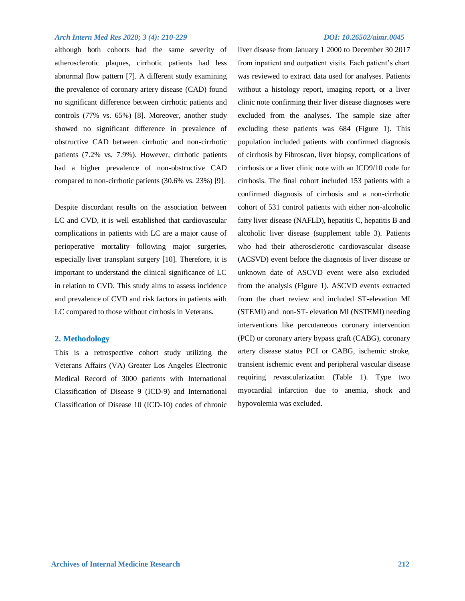although both cohorts had the same severity of atherosclerotic plaques, cirrhotic patients had less abnormal flow pattern [7]. A different study examining the prevalence of coronary artery disease (CAD) found no significant difference between cirrhotic patients and controls (77% vs. 65%) [8]. Moreover, another study showed no significant difference in prevalence of obstructive CAD between cirrhotic and non-cirrhotic patients (7.2% vs. 7.9%). However, cirrhotic patients had a higher prevalence of non-obstructive CAD compared to non-cirrhotic patients (30.6% vs. 23%) [9].

Despite discordant results on the association between LC and CVD, it is well established that cardiovascular complications in patients with LC are a major cause of perioperative mortality following major surgeries, especially liver transplant surgery [10]. Therefore, it is important to understand the clinical significance of LC in relation to CVD. This study aims to assess incidence and prevalence of CVD and risk factors in patients with LC compared to those without cirrhosis in Veterans.

### **2. Methodology**

This is a retrospective cohort study utilizing the Veterans Affairs (VA) Greater Los Angeles Electronic Medical Record of 3000 patients with International Classification of Disease 9 (ICD-9) and International Classification of Disease 10 (ICD-10) codes of chronic

liver disease from January 1 2000 to December 30 2017 from inpatient and outpatient visits. Each patient's chart was reviewed to extract data used for analyses. Patients without a histology report, imaging report, or a liver clinic note confirming their liver disease diagnoses were excluded from the analyses. The sample size after excluding these patients was 684 (Figure 1). This population included patients with confirmed diagnosis of cirrhosis by Fibroscan, liver biopsy, complications of cirrhosis or a liver clinic note with an ICD9/10 code for cirrhosis. The final cohort included 153 patients with a confirmed diagnosis of cirrhosis and a non-cirrhotic cohort of 531 control patients with either non-alcoholic fatty liver disease (NAFLD), hepatitis C, hepatitis B and alcoholic liver disease (supplement table 3). Patients who had their atherosclerotic cardiovascular disease (ACSVD) event before the diagnosis of liver disease or unknown date of ASCVD event were also excluded from the analysis (Figure 1). ASCVD events extracted from the chart review and included ST-elevation MI (STEMI) and non-ST- elevation MI (NSTEMI) needing interventions like percutaneous coronary intervention (PCI) or coronary artery bypass graft (CABG), coronary artery disease status PCI or CABG, ischemic stroke, transient ischemic event and peripheral vascular disease requiring revascularization (Table 1). Type two myocardial infarction due to anemia, shock and hypovolemia was excluded.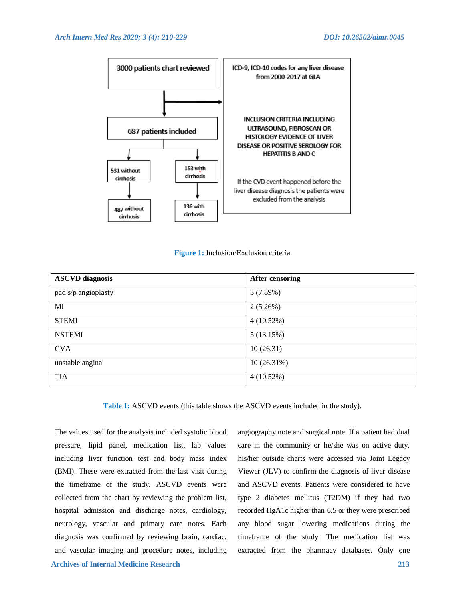

### **Figure 1:** Inclusion/Exclusion criteria

| <b>ASCVD</b> diagnosis | <b>After censoring</b> |
|------------------------|------------------------|
| pad s/p angioplasty    | 3(7.89%)               |
| MI                     | $2(5.26\%)$            |
| <b>STEMI</b>           | 4(10.52%)              |
| <b>NSTEMI</b>          | 5(13.15%)              |
| <b>CVA</b>             | 10(26.31)              |
| unstable angina        | 10(26.31%)             |
| TIA                    | 4(10.52%)              |

**Table 1:** ASCVD events (this table shows the ASCVD events included in the study).

 **Archives of Internal Medicine Research 213** The values used for the analysis included systolic blood pressure, lipid panel, medication list, lab values including liver function test and body mass index (BMI). These were extracted from the last visit during the timeframe of the study. ASCVD events were collected from the chart by reviewing the problem list, hospital admission and discharge notes, cardiology, neurology, vascular and primary care notes. Each diagnosis was confirmed by reviewing brain, cardiac, and vascular imaging and procedure notes, including

angiography note and surgical note. If a patient had dual care in the community or he/she was on active duty, his/her outside charts were accessed via Joint Legacy Viewer (JLV) to confirm the diagnosis of liver disease and ASCVD events. Patients were considered to have type 2 diabetes mellitus (T2DM) if they had two recorded HgA1c higher than 6.5 or they were prescribed any blood sugar lowering medications during the timeframe of the study. The medication list was extracted from the pharmacy databases. Only one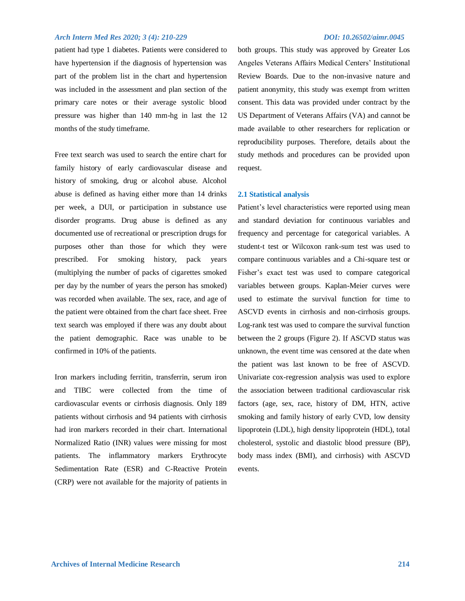patient had type 1 diabetes. Patients were considered to have hypertension if the diagnosis of hypertension was part of the problem list in the chart and hypertension was included in the assessment and plan section of the primary care notes or their average systolic blood pressure was higher than 140 mm-hg in last the 12 months of the study timeframe.

Free text search was used to search the entire chart for family history of early cardiovascular disease and history of smoking, drug or alcohol abuse. Alcohol abuse is defined as having either more than 14 drinks per week, a DUI, or participation in substance use disorder programs. Drug abuse is defined as any documented use of recreational or prescription drugs for purposes other than those for which they were prescribed. For smoking history, pack years (multiplying the number of packs of cigarettes smoked per day by the number of years the person has smoked) was recorded when available. The sex, race, and age of the patient were obtained from the chart face sheet. Free text search was employed if there was any doubt about the patient demographic. Race was unable to be confirmed in 10% of the patients.

Iron markers including ferritin, transferrin, serum iron and TIBC were collected from the time of cardiovascular events or cirrhosis diagnosis. Only 189 patients without cirrhosis and 94 patients with cirrhosis had iron markers recorded in their chart. International Normalized Ratio (INR) values were missing for most patients. The inflammatory markers Erythrocyte Sedimentation Rate (ESR) and C-Reactive Protein (CRP) were not available for the majority of patients in

both groups. This study was approved by Greater Los Angeles Veterans Affairs Medical Centers' Institutional Review Boards. Due to the non-invasive nature and patient anonymity, this study was exempt from written consent. This data was provided under contract by the US Department of Veterans Affairs (VA) and cannot be made available to other researchers for replication or reproducibility purposes. Therefore, details about the study methods and procedures can be provided upon request.

### **2.1 Statistical analysis**

Patient's level characteristics were reported using mean and standard deviation for continuous variables and frequency and percentage for categorical variables. A student-t test or Wilcoxon rank-sum test was used to compare continuous variables and a Chi-square test or Fisher's exact test was used to compare categorical variables between groups. Kaplan-Meier curves were used to estimate the survival function for time to ASCVD events in cirrhosis and non-cirrhosis groups. Log-rank test was used to compare the survival function between the 2 groups (Figure 2). If ASCVD status was unknown, the event time was censored at the date when the patient was last known to be free of ASCVD. Univariate cox-regression analysis was used to explore the association between traditional cardiovascular risk factors (age, sex, race, history of DM, HTN, active smoking and family history of early CVD, low density lipoprotein (LDL), high density lipoprotein (HDL), total cholesterol, systolic and diastolic blood pressure (BP), body mass index (BMI), and cirrhosis) with ASCVD events.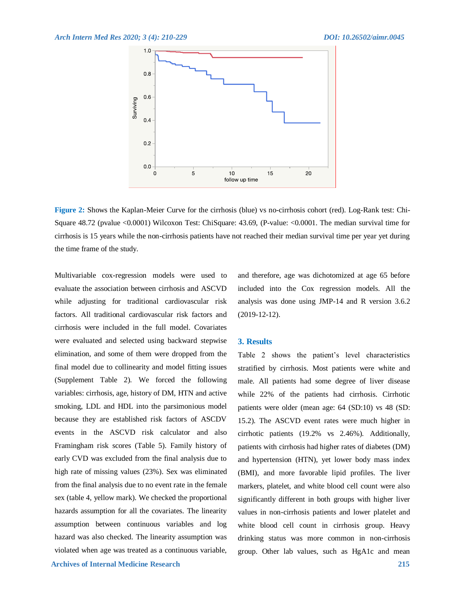

**Figure 2:** Shows the Kaplan-Meier Curve for the cirrhosis (blue) vs no-cirrhosis cohort (red). Log-Rank test: Chi-Square 48.72 (pvalue <0.0001) Wilcoxon Test: ChiSquare: 43.69, (P-value: <0.0001. The median survival time for cirrhosis is 15 years while the non-cirrhosis patients have not reached their median survival time per year yet during the time frame of the study.

Multivariable cox-regression models were used to evaluate the association between cirrhosis and ASCVD while adjusting for traditional cardiovascular risk factors. All traditional cardiovascular risk factors and cirrhosis were included in the full model. Covariates were evaluated and selected using backward stepwise elimination, and some of them were dropped from the final model due to collinearity and model fitting issues (Supplement Table 2). We forced the following variables: cirrhosis, age, history of DM, HTN and active smoking, LDL and HDL into the parsimonious model because they are established risk factors of ASCDV events in the ASCVD risk calculator and also Framingham risk scores (Table 5). Family history of early CVD was excluded from the final analysis due to high rate of missing values (23%). Sex was eliminated from the final analysis due to no event rate in the female sex (table 4, yellow mark). We checked the proportional hazards assumption for all the covariates. The linearity assumption between continuous variables and log hazard was also checked. The linearity assumption was violated when age was treated as a continuous variable, and therefore, age was dichotomized at age 65 before included into the Cox regression models. All the analysis was done using JMP-14 and R version 3.6.2 (2019-12-12).

### **3. Results**

Table 2 shows the patient's level characteristics stratified by cirrhosis. Most patients were white and male. All patients had some degree of liver disease while 22% of the patients had cirrhosis. Cirrhotic patients were older (mean age: 64 (SD:10) vs 48 (SD: 15.2). The ASCVD event rates were much higher in cirrhotic patients (19.2% vs 2.46%). Additionally, patients with cirrhosis had higher rates of diabetes (DM) and hypertension (HTN), yet lower body mass index (BMI), and more favorable lipid profiles. The liver markers, platelet, and white blood cell count were also significantly different in both groups with higher liver values in non-cirrhosis patients and lower platelet and white blood cell count in cirrhosis group. Heavy drinking status was more common in non-cirrhosis group. Other lab values, such as HgA1c and mean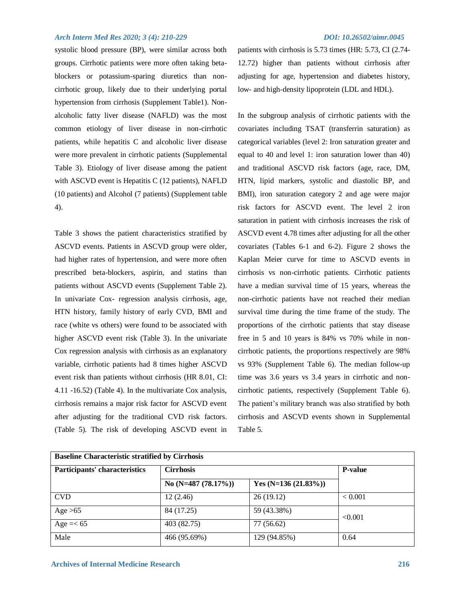systolic blood pressure (BP), were similar across both groups. Cirrhotic patients were more often taking betablockers or potassium-sparing diuretics than noncirrhotic group, likely due to their underlying portal hypertension from cirrhosis (Supplement Table1). Nonalcoholic fatty liver disease (NAFLD) was the most common etiology of liver disease in non-cirrhotic patients, while hepatitis C and alcoholic liver disease were more prevalent in cirrhotic patients (Supplemental Table 3). Etiology of liver disease among the patient with ASCVD event is Hepatitis C (12 patients), NAFLD (10 patients) and Alcohol (7 patients) (Supplement table 4).

Table 3 shows the patient characteristics stratified by ASCVD events. Patients in ASCVD group were older, had higher rates of hypertension, and were more often prescribed beta-blockers, aspirin, and statins than patients without ASCVD events (Supplement Table 2). In univariate Cox- regression analysis cirrhosis, age, HTN history, family history of early CVD, BMI and race (white vs others) were found to be associated with higher ASCVD event risk (Table 3). In the univariate Cox regression analysis with cirrhosis as an explanatory variable, cirrhotic patients had 8 times higher ASCVD event risk than patients without cirrhosis (HR 8.01, CI: 4.11 -16.52) (Table 4). In the multivariate Cox analysis, cirrhosis remains a major risk factor for ASCVD event after adjusting for the traditional CVD risk factors. (Table 5). The risk of developing ASCVD event in

patients with cirrhosis is 5.73 times (HR: 5.73, CI (2.74- 12.72) higher than patients without cirrhosis after adjusting for age, hypertension and diabetes history, low- and high-density lipoprotein (LDL and HDL).

In the subgroup analysis of cirrhotic patients with the covariates including TSAT (transferrin saturation) as categorical variables (level 2: Iron saturation greater and equal to 40 and level 1: iron saturation lower than 40) and traditional ASCVD risk factors (age, race, DM, HTN, lipid markers, systolic and diastolic BP, and BMI), iron saturation category 2 and age were major risk factors for ASCVD event. The level 2 iron saturation in patient with cirrhosis increases the risk of ASCVD event 4.78 times after adjusting for all the other covariates (Tables 6-1 and 6-2). Figure 2 shows the Kaplan Meier curve for time to ASCVD events in cirrhosis vs non-cirrhotic patients. Cirrhotic patients have a median survival time of 15 years, whereas the non-cirrhotic patients have not reached their median survival time during the time frame of the study. The proportions of the cirrhotic patients that stay disease free in 5 and 10 years is 84% vs 70% while in noncirrhotic patients, the proportions respectively are 98% vs 93% (Supplement Table 6). The median follow-up time was 3.6 years vs 3.4 years in cirrhotic and noncirrhotic patients, respectively (Supplement Table 6). The patient's military branch was also stratified by both cirrhosis and ASCVD events shown in Supplemental Table 5.

| <b>Baseline Characteristic stratified by Cirrhosis</b> |                         |                        |                |
|--------------------------------------------------------|-------------------------|------------------------|----------------|
| Participants' characteristics                          | <b>Cirrhosis</b>        |                        | <b>P-value</b> |
|                                                        | No (N=487 $(78.17\%)$ ) | Yes $(N=136 (21.83\%)$ |                |
| <b>CVD</b>                                             | 12(2.46)                | 26(19.12)              | < 0.001        |
| Age $>65$                                              | 84 (17.25)              | 59 (43.38%)            | < 0.001        |
| Age $=< 65$                                            | 403 (82.75)             | 77 (56.62)             |                |
| Male                                                   | 466 (95.69%)            | 129 (94.85%)           | 0.64           |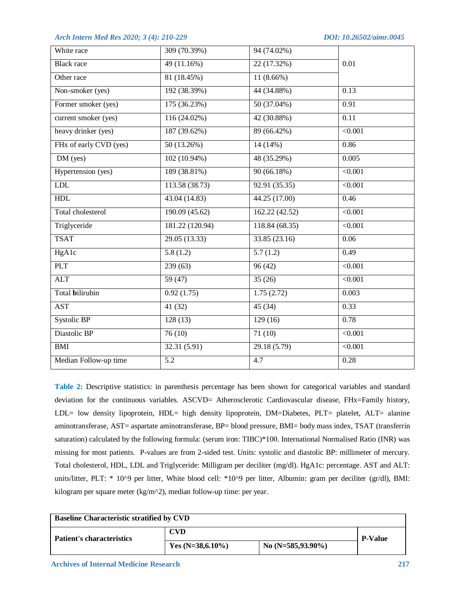| White race             | 309 (70.39%)     | 94 (74.02%)      |                   |
|------------------------|------------------|------------------|-------------------|
| <b>Black race</b>      | 49 (11.16%)      | 22 (17.32%)      | 0.01              |
| Other race             | 81 (18.45%)      | $11(8.66\%)$     |                   |
| Non-smoker (yes)       | 192 (38.39%)     | 44 (34.88%)      | 0.13              |
| Former smoker (yes)    | 175 (36.23%)     | 50 (37.04%)      | 0.91              |
| current smoker (yes)   | $116(24.02\%)$   | 42 (30.88%)      | $\overline{0.11}$ |
| heavy drinker (yes)    | 187 (39.62%)     | 89 (66.42%)      | $\sqrt{0.001}$    |
| FHx of early CVD (yes) | 50(13.26%)       | 14(14%)          | 0.86              |
| DM (yes)               | 102 (10.94%)     | 48 (35.29%)      | 0.005             |
| Hypertension (yes)     | 189 (38.81%)     | 90(66.18%)       | < 0.001           |
| <b>LDL</b>             | 113.58 (38.73)   | 92.91(35.35)     | < 0.001           |
| HDL                    | 43.04(14.83)     | 44.25(17.00)     | 0.46              |
| Total cholesterol      | 190.09(45.62)    | 162.22(42.52)    | $\sqrt{0.001}$    |
| Triglyceride           | 181.22 (120.94)  | 118.84(68.35)    | $\sqrt{0.001}$    |
| <b>TSAT</b>            | 29.05(13.33)     | 33.85(23.16)     | 0.06              |
| HgA1c                  | 5.8(1.2)         | 5.7(1.2)         | 0.49              |
| <b>PLT</b>             | 239(63)          | 96(42)           | $\sqrt{0.001}$    |
| <b>ALT</b>             | 59(47)           | 35(26)           | $\sqrt{0.001}$    |
| Total bilirubin        | 0.92(1.75)       | 1.75(2.72)       | 0.003             |
| <b>AST</b>             | 41 (32)          | 45(34)           | 0.33              |
| Systolic BP            | 128(13)          | 129(16)          | 0.78              |
| Diastolic BP           | 76(10)           | 71(10)           | $\sqrt{0.001}$    |
| BMI                    | 32.31(5.91)      | 29.18(5.79)      | < 0.001           |
| Median Follow-up time  | $\overline{5.2}$ | $\overline{4.7}$ | 0.28              |

**Table 2:** Descriptive statistics: in parenthesis percentage has been shown for categorical variables and standard deviation for the continuous variables. ASCVD= Atherosclerotic Cardiovascular disease, FHx=Family history, LDL= low density lipoprotein, HDL= high density lipoprotein, DM=Diabetes, PLT= platelet, ALT= alanine aminotransferase, AST= aspartate aminotransferase, BP= blood pressure, BMI= body mass index, TSAT (transferrin saturation) calculated by the following formula: (serum iron: TIBC)\*100. International Normalised Ratio (INR) was missing for most patients. P-values are from 2-sided test. Units: systolic and diastolic BP: millimeter of mercury. Total cholesterol, HDL, LDL and Triglyceride: Milligram per deciliter (mg/dl). HgA1c: percentage. AST and ALT: units/litter, PLT: \* 10^9 per litter, White blood cell: \*10^9 per litter, Albumin: gram per deciliter (gr/dl), BMI: kilogram per square meter (kg/m^2), median follow-up time: per year.

| <b>Baseline Characteristic stratified by CVD</b> |                     |                       |                |  |
|--------------------------------------------------|---------------------|-----------------------|----------------|--|
| <b>Patient's characteristics</b>                 | <b>CVD</b>          |                       | <b>P-Value</b> |  |
|                                                  | Yes $(N=38,6.10\%)$ | No $(N=585, 93.90\%)$ |                |  |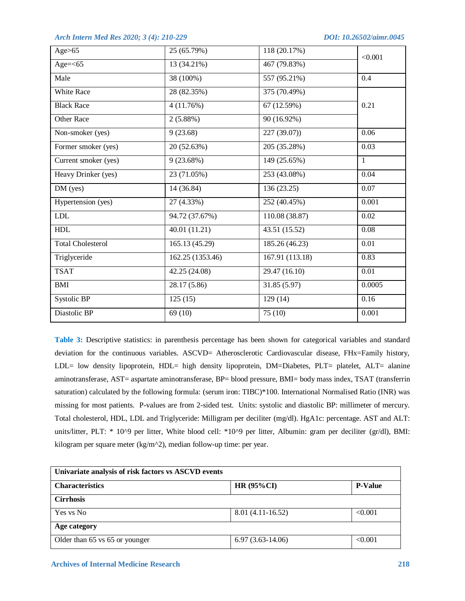| Age>65                    | 25 (65.79%)      | 118 (20.17%)    | < 0.001           |
|---------------------------|------------------|-----------------|-------------------|
| Age= $<$ 65               | 13 (34.21%)      | 467 (79.83%)    |                   |
| Male                      | 38 (100%)        | 557 (95.21%)    | 0.4               |
| White Race                | 28 (82.35%)      | 375 (70.49%)    |                   |
| <b>Black Race</b>         | 4(11.76%)        | 67 (12.59%)     | 0.21              |
| <b>Other Race</b>         | $2(5.88\%)$      | 90 (16.92%)     |                   |
| Non-smoker (yes)          | 9(23.68)         | 227(39.07)      | 0.06              |
| Former smoker (yes)       | 20 (52.63%)      | 205 (35.28%)    | 0.03              |
| Current smoker (yes)      | 9(23.68%)        | 149 (25.65%)    | 1                 |
| Heavy Drinker (yes)       | 23 (71.05%)      | 253 (43.08%)    | 0.04              |
| $\overline{\rm DM}$ (yes) | 14 (36.84)       | 136 (23.25)     | 0.07              |
| Hypertension (yes)        | 27 (4.33%)       | 252 (40.45%)    | 0.001             |
| <b>LDL</b>                | 94.72 (37.67%)   | 110.08 (38.87)  | $0.02\,$          |
| ${\rm HDL}$               | 40.01 (11.21)    | 43.51 (15.52)   | 0.08              |
| <b>Total Cholesterol</b>  | 165.13 (45.29)   | 185.26 (46.23)  | 0.01              |
| Triglyceride              | 162.25 (1353.46) | 167.91 (113.18) | 0.83              |
| <b>TSAT</b>               | 42.25 (24.08)    | 29.47 (16.10)   | $\overline{0.01}$ |
| <b>BMI</b>                | 28.17 (5.86)     | 31.85 (5.97)    | 0.0005            |
| Systolic BP               | 125(15)          | 129(14)         | 0.16              |
| Diastolic BP              | 69(10)           | 75(10)          | 0.001             |

**Table 3:** Descriptive statistics: in parenthesis percentage has been shown for categorical variables and standard deviation for the continuous variables. ASCVD= Atherosclerotic Cardiovascular disease, FHx=Family history, LDL= low density lipoprotein, HDL= high density lipoprotein, DM=Diabetes, PLT= platelet, ALT= alanine aminotransferase, AST= aspartate aminotransferase, BP= blood pressure, BMI= body mass index, TSAT (transferrin saturation) calculated by the following formula: (serum iron: TIBC)\*100. International Normalised Ratio (INR) was missing for most patients. P-values are from 2-sided test. Units: systolic and diastolic BP: millimeter of mercury. Total cholesterol, HDL, LDL and Triglyceride: Milligram per deciliter (mg/dl). HgA1c: percentage. AST and ALT: units/litter, PLT: \* 10^9 per litter, White blood cell: \*10^9 per litter, Albumin: gram per deciliter (gr/dl), BMI: kilogram per square meter (kg/m<sup> $\land$ 2)</sup>, median follow-up time: per year.

| Univariate analysis of risk factors vs ASCVD events |                    |                |  |
|-----------------------------------------------------|--------------------|----------------|--|
| <b>Characteristics</b>                              | <b>HR (95%CI)</b>  | <b>P-Value</b> |  |
| <b>Cirrhosis</b>                                    |                    |                |  |
| Yes vs No                                           | $8.01(4.11-16.52)$ | < 0.001        |  |
| Age category                                        |                    |                |  |
| Older than 65 vs 65 or younger                      | $6.97(3.63-14.06)$ | < 0.001        |  |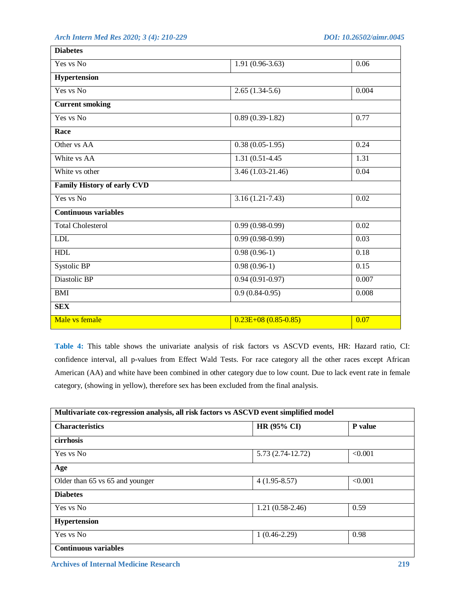| <b>Diabetes</b>                    |                       |       |
|------------------------------------|-----------------------|-------|
| Yes vs No                          | $1.91(0.96-3.63)$     | 0.06  |
| Hypertension                       |                       |       |
| Yes vs No                          | $2.65(1.34-5.6)$      | 0.004 |
| <b>Current smoking</b>             |                       |       |
| Yes vs No                          | $0.89(0.39-1.82)$     | 0.77  |
| Race                               |                       |       |
| Other vs AA                        | $0.38(0.05-1.95)$     | 0.24  |
| White vs AA                        | 1.31 (0.51-4.45)      | 1.31  |
| White vs other                     | $3.46(1.03-21.46)$    | 0.04  |
| <b>Family History of early CVD</b> |                       |       |
| Yes vs No                          | $3.16(1.21 - 7.43)$   | 0.02  |
| <b>Continuous variables</b>        |                       |       |
| <b>Total Cholesterol</b>           | $0.99(0.98-0.99)$     | 0.02  |
| <b>LDL</b>                         | $0.99(0.98-0.99)$     | 0.03  |
| <b>HDL</b>                         | $0.98(0.96-1)$        | 0.18  |
| Systolic BP                        | $0.98(0.96-1)$        | 0.15  |
| Diastolic BP                       | $0.94(0.91-0.97)$     | 0.007 |
| <b>BMI</b>                         | $0.9(0.84-0.95)$      | 0.008 |
| <b>SEX</b>                         |                       |       |
| Male vs female                     | $0.23E+08(0.85-0.85)$ | 0.07  |

**Table 4:** This table shows the univariate analysis of risk factors vs ASCVD events, HR: Hazard ratio, CI: confidence interval, all p-values from Effect Wald Tests. For race category all the other races except African American (AA) and white have been combined in other category due to low count. Due to lack event rate in female category, (showing in yellow), therefore sex has been excluded from the final analysis.

| Multivariate cox-regression analysis, all risk factors vs ASCVD event simplified model |                   |         |  |
|----------------------------------------------------------------------------------------|-------------------|---------|--|
| <b>Characteristics</b>                                                                 | HR (95% CI)       | P value |  |
| cirrhosis                                                                              |                   |         |  |
| Yes vs No                                                                              | 5.73 (2.74-12.72) | < 0.001 |  |
| Age                                                                                    |                   |         |  |
| Older than 65 vs 65 and younger                                                        | $4(1.95-8.57)$    | < 0.001 |  |
| <b>Diabetes</b>                                                                        |                   |         |  |
| Yes vs No                                                                              | $1.21(0.58-2.46)$ | 0.59    |  |
| <b>Hypertension</b>                                                                    |                   |         |  |
| Yes vs No                                                                              | $1(0.46-2.29)$    | 0.98    |  |
| <b>Continuous variables</b>                                                            |                   |         |  |

 **Archives of Internal Medicine Research 219**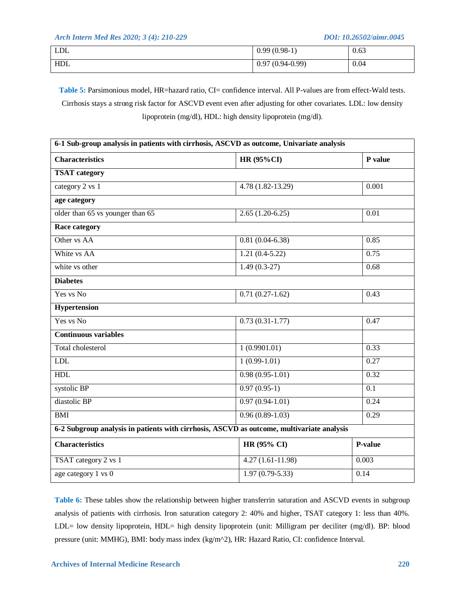| <b>LDL</b> | $(0.98-1)$<br>0.99           | 0.63 |
|------------|------------------------------|------|
| HDL        | $(0.94 - 0.99)$<br>ч<br>0.9. | 0.04 |

Table 5: Parsimonious model, HR=hazard ratio, CI= confidence interval. All P-values are from effect-Wald tests. Cirrhosis stays a strong risk factor for ASCVD event even after adjusting for other covariates. LDL: low density lipoprotein (mg/dl), HDL: high density lipoprotein (mg/dl).

| 6-1 Sub-group analysis in patients with cirrhosis, ASCVD as outcome, Univariate analysis |                                                                                           |                  |  |
|------------------------------------------------------------------------------------------|-------------------------------------------------------------------------------------------|------------------|--|
| <b>Characteristics</b>                                                                   | <b>HR (95%CI)</b>                                                                         | P value          |  |
| <b>TSAT</b> category                                                                     |                                                                                           |                  |  |
| category 2 vs 1                                                                          | $4.78(1.82 - 13.29)$                                                                      | 0.001            |  |
| age category                                                                             |                                                                                           |                  |  |
| older than 65 vs younger than 65                                                         | $2.65(1.20-6.25)$                                                                         | 0.01             |  |
| Race category                                                                            |                                                                                           |                  |  |
| Other vs AA                                                                              | $0.81(0.04-6.38)$                                                                         | 0.85             |  |
| White vs AA                                                                              | $1.21(0.4-5.22)$                                                                          | 0.75             |  |
| white vs other                                                                           | $1.49(0.3-27)$                                                                            | 0.68             |  |
| <b>Diabetes</b>                                                                          |                                                                                           |                  |  |
| Yes vs No                                                                                | $0.71(0.27-1.62)$                                                                         | 0.43             |  |
| <b>Hypertension</b>                                                                      |                                                                                           |                  |  |
| Yes vs No                                                                                | $0.73(0.31-1.77)$                                                                         | 0.47             |  |
| <b>Continuous variables</b>                                                              |                                                                                           |                  |  |
| Total cholesterol                                                                        | 1(0.9901.01)                                                                              | 0.33             |  |
| <b>LDL</b>                                                                               | $1(0.99-1.01)$                                                                            | 0.27             |  |
| <b>HDL</b>                                                                               | $0.98(0.95-1.01)$                                                                         | 0.32             |  |
| systolic BP                                                                              | $0.97(0.95-1)$                                                                            | $\overline{0.1}$ |  |
| diastolic BP                                                                             | $0.97(0.94-1.01)$                                                                         | 0.24             |  |
| <b>BMI</b>                                                                               | $0.96(0.89-1.03)$                                                                         | 0.29             |  |
|                                                                                          | 6-2 Subgroup analysis in patients with cirrhosis, ASCVD as outcome, multivariate analysis |                  |  |
| <b>Characteristics</b>                                                                   | HR (95% CI)                                                                               | P-value          |  |
| TSAT category 2 vs 1                                                                     | $4.27(1.61-11.98)$                                                                        | 0.003            |  |
| age category 1 vs 0                                                                      | $1.97(0.79 - 5.33)$                                                                       | 0.14             |  |

**Table 6:** These tables show the relationship between higher transferrin saturation and ASCVD events in subgroup analysis of patients with cirrhosis. Iron saturation category 2: 40% and higher, TSAT category 1: less than 40%. LDL= low density lipoprotein, HDL= high density lipoprotein (unit: Milligram per deciliter (mg/dl). BP: blood pressure (unit: MMHG), BMI: body mass index (kg/m^2), HR: Hazard Ratio, CI: confidence Interval.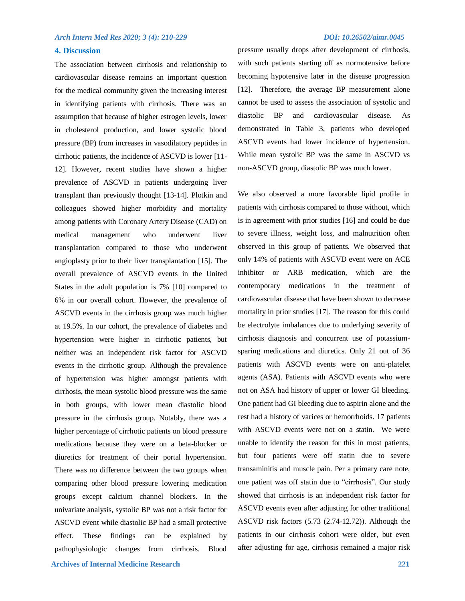### **4. Discussion**

 **Archives of Internal Medicine Research 221** The association between cirrhosis and relationship to cardiovascular disease remains an important question for the medical community given the increasing interest in identifying patients with cirrhosis. There was an assumption that because of higher estrogen levels, lower in cholesterol production, and lower systolic blood pressure (BP) from increases in vasodilatory peptides in cirrhotic patients, the incidence of ASCVD is lower [11- 12]. However, recent studies have shown a higher prevalence of ASCVD in patients undergoing liver transplant than previously thought [13-14]. Plotkin and colleagues showed higher morbidity and mortality among patients with Coronary Artery Disease (CAD) on medical management who underwent liver transplantation compared to those who underwent angioplasty prior to their liver transplantation [15]. The overall prevalence of ASCVD events in the United States in the adult population is 7% [10] compared to 6% in our overall cohort. However, the prevalence of ASCVD events in the cirrhosis group was much higher at 19.5%. In our cohort, the prevalence of diabetes and hypertension were higher in cirrhotic patients, but neither was an independent risk factor for ASCVD events in the cirrhotic group. Although the prevalence of hypertension was higher amongst patients with cirrhosis, the mean systolic blood pressure was the same in both groups, with lower mean diastolic blood pressure in the cirrhosis group. Notably, there was a higher percentage of cirrhotic patients on blood pressure medications because they were on a beta-blocker or diuretics for treatment of their portal hypertension. There was no difference between the two groups when comparing other blood pressure lowering medication groups except calcium channel blockers. In the univariate analysis, systolic BP was not a risk factor for ASCVD event while diastolic BP had a small protective effect. These findings can be explained by pathophysiologic changes from cirrhosis. Blood

pressure usually drops after development of cirrhosis, with such patients starting off as normotensive before becoming hypotensive later in the disease progression [12]. Therefore, the average BP measurement alone cannot be used to assess the association of systolic and diastolic BP and cardiovascular disease. As demonstrated in Table 3, patients who developed ASCVD events had lower incidence of hypertension. While mean systolic BP was the same in ASCVD vs non-ASCVD group, diastolic BP was much lower.

We also observed a more favorable lipid profile in patients with cirrhosis compared to those without, which is in agreement with prior studies [16] and could be due to severe illness, weight loss, and malnutrition often observed in this group of patients. We observed that only 14% of patients with ASCVD event were on ACE inhibitor or ARB medication, which are the contemporary medications in the treatment of cardiovascular disease that have been shown to decrease mortality in prior studies [17]. The reason for this could be electrolyte imbalances due to underlying severity of cirrhosis diagnosis and concurrent use of potassiumsparing medications and diuretics. Only 21 out of 36 patients with ASCVD events were on anti-platelet agents (ASA). Patients with ASCVD events who were not on ASA had history of upper or lower GI bleeding. One patient had GI bleeding due to aspirin alone and the rest had a history of varices or hemorrhoids. 17 patients with ASCVD events were not on a statin. We were unable to identify the reason for this in most patients, but four patients were off statin due to severe transaminitis and muscle pain. Per a primary care note, one patient was off statin due to "cirrhosis". Our study showed that cirrhosis is an independent risk factor for ASCVD events even after adjusting for other traditional ASCVD risk factors (5.73 (2.74-12.72)). Although the patients in our cirrhosis cohort were older, but even after adjusting for age, cirrhosis remained a major risk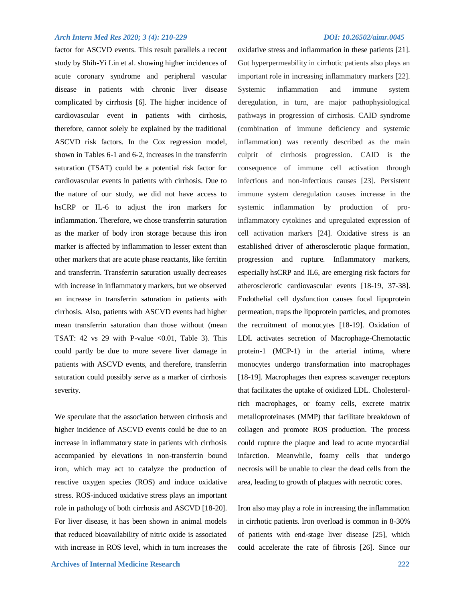factor for ASCVD events. This result parallels a recent study by Shih-Yi Lin et al. showing higher incidences of acute coronary syndrome and peripheral vascular disease in patients with chronic liver disease complicated by cirrhosis [6]. The higher incidence of cardiovascular event in patients with cirrhosis, therefore, cannot solely be explained by the traditional ASCVD risk factors. In the Cox regression model, shown in Tables 6-1 and 6-2, increases in the transferrin saturation (TSAT) could be a potential risk factor for cardiovascular events in patients with cirrhosis. Due to the nature of our study, we did not have access to hsCRP or IL-6 to adjust the iron markers for inflammation. Therefore, we chose transferrin saturation as the marker of body iron storage because this iron marker is affected by inflammation to lesser extent than other markers that are acute phase reactants, like ferritin and transferrin. Transferrin saturation usually decreases with increase in inflammatory markers, but we observed an increase in transferrin saturation in patients with cirrhosis. Also, patients with ASCVD events had higher mean transferrin saturation than those without (mean TSAT: 42 vs 29 with P-value  $\langle 0.01, 0.01 \rangle$  Table 3). This could partly be due to more severe liver damage in patients with ASCVD events, and therefore, transferrin saturation could possibly serve as a marker of cirrhosis severity.

We speculate that the association between cirrhosis and higher incidence of ASCVD events could be due to an increase in inflammatory state in patients with cirrhosis accompanied by elevations in non-transferrin bound iron, which may act to catalyze the production of reactive oxygen species (ROS) and induce oxidative stress. ROS-induced oxidative stress plays an important role in pathology of both cirrhosis and ASCVD [18-20]. For liver disease, it has been shown in animal models that reduced bioavailability of nitric oxide is associated with increase in ROS level, which in turn increases the

oxidative stress and inflammation in these patients [21]. Gut hyperpermeability in cirrhotic patients also plays an important role in increasing inflammatory markers [22]. Systemic inflammation and immune system deregulation, in turn, are major pathophysiological pathways in progression of cirrhosis. CAID syndrome (combination of immune deficiency and systemic inflammation) was recently described as the main culprit of cirrhosis progression. CAID is the consequence of immune cell activation through infectious and non-infectious causes [23]. Persistent immune system deregulation causes increase in the systemic inflammation by production of proinflammatory cytokines and upregulated expression of cell activation markers [24]. Oxidative stress is an established driver of atherosclerotic plaque formation, progression and rupture. Inflammatory markers, especially hsCRP and IL6, are emerging risk factors for atherosclerotic cardiovascular events [18-19, 37-38]. Endothelial cell dysfunction causes focal lipoprotein permeation, traps the lipoprotein particles, and promotes the recruitment of monocytes [18-19]. Oxidation of LDL activates secretion of Macrophage-Chemotactic protein-1 (MCP-1) in the arterial intima, where monocytes undergo transformation into macrophages [18-19]. Macrophages then express scavenger receptors that facilitates the uptake of oxidized LDL. Cholesterolrich macrophages, or foamy cells, excrete matrix metalloproteinases (MMP) that facilitate breakdown of collagen and promote ROS production. The process could rupture the plaque and lead to acute myocardial infarction. Meanwhile, foamy cells that undergo necrosis will be unable to clear the dead cells from the area, leading to growth of plaques with necrotic cores.

Iron also may play a role in increasing the inflammation in cirrhotic patients. Iron overload is common in 8-30% of patients with end-stage liver disease [25], which could accelerate the rate of fibrosis [26]. Since our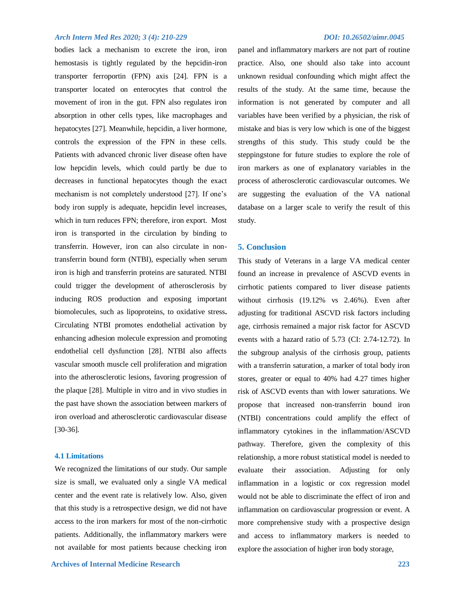bodies lack a mechanism to excrete the iron, iron hemostasis is tightly regulated by the hepcidin-iron transporter ferroportin (FPN) axis [24]. FPN is a transporter located on enterocytes that control the movement of iron in the gut. FPN also regulates iron absorption in other cells types, like macrophages and hepatocytes [27]. Meanwhile, hepcidin, a liver hormone, controls the expression of the FPN in these cells. Patients with advanced chronic liver disease often have low hepcidin levels, which could partly be due to decreases in functional hepatocytes though the exact mechanism is not completely understood [27]. If one's body iron supply is adequate, hepcidin level increases, which in turn reduces FPN; therefore, iron export. Most iron is transported in the circulation by binding to transferrin. However, iron can also circulate in nontransferrin bound form (NTBI), especially when serum iron is high and transferrin proteins are saturated. NTBI could trigger the development of atherosclerosis by inducing ROS production and exposing important biomolecules, such as lipoproteins, to oxidative stress**.** Circulating NTBI promotes endothelial activation by enhancing adhesion molecule expression and promoting endothelial cell dysfunction [28]. NTBI also affects vascular smooth muscle cell proliferation and migration into the atherosclerotic lesions, favoring progression of the plaque [28]. Multiple in vitro and in vivo studies in the past have shown the association between markers of iron overload and atherosclerotic cardiovascular disease [30-36].

### **4.1 Limitations**

We recognized the limitations of our study. Our sample size is small, we evaluated only a single VA medical center and the event rate is relatively low. Also, given that this study is a retrospective design, we did not have access to the iron markers for most of the non-cirrhotic patients. Additionally, the inflammatory markers were not available for most patients because checking iron

panel and inflammatory markers are not part of routine practice. Also, one should also take into account unknown residual confounding which might affect the results of the study. At the same time, because the information is not generated by computer and all variables have been verified by a physician, the risk of mistake and bias is very low which is one of the biggest strengths of this study. This study could be the steppingstone for future studies to explore the role of iron markers as one of explanatory variables in the process of atherosclerotic cardiovascular outcomes. We are suggesting the evaluation of the VA national database on a larger scale to verify the result of this study.

### **5. Conclusion**

This study of Veterans in a large VA medical center found an increase in prevalence of ASCVD events in cirrhotic patients compared to liver disease patients without cirrhosis (19.12% vs 2.46%). Even after adjusting for traditional ASCVD risk factors including age, cirrhosis remained a major risk factor for ASCVD events with a hazard ratio of 5.73 (CI: 2.74-12.72). In the subgroup analysis of the cirrhosis group, patients with a transferrin saturation, a marker of total body iron stores, greater or equal to 40% had 4.27 times higher risk of ASCVD events than with lower saturations. We propose that increased non-transferrin bound iron (NTBI) concentrations could amplify the effect of inflammatory cytokines in the inflammation/ASCVD pathway. Therefore, given the complexity of this relationship, a more robust statistical model is needed to evaluate their association. Adjusting for only inflammation in a logistic or cox regression model would not be able to discriminate the effect of iron and inflammation on cardiovascular progression or event. A more comprehensive study with a prospective design and access to inflammatory markers is needed to explore the association of higher iron body storage,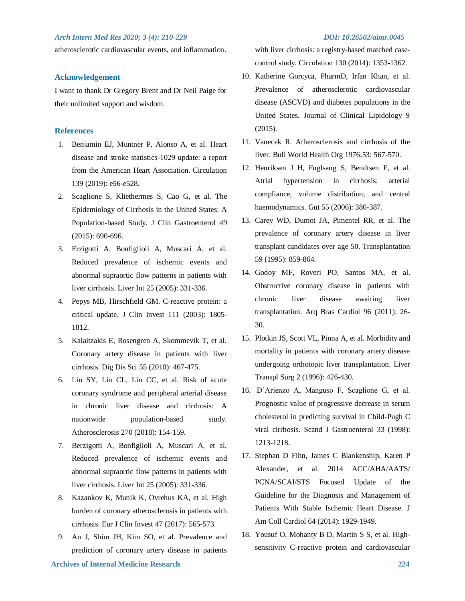atherosclerotic cardiovascular events, and inflammation.

### **Acknowledgement**

I want to thank Dr Gregory Brent and Dr Neil Paige for their unlimited support and wisdom.

### **References**

- 1. Benjamin EJ, Muntner P, Alonso A, et al. Heart disease and stroke statistics-1029 update: a report from the American Heart Association. Circulation 139 (2019): e56-e528.
- 2. Scaglione S, Kliethermes S, Cao G, et al. The Epidemiology of Cirrhosis in the United States: A Population-based Study. J Clin Gastroenterol 49 (2015): 690-696.
- 3. Erzigotti A, Bonfiglioli A, Muscari A, et al. Reduced prevalence of ischemic events and abnormal supraortic flow patterns in patients with liver cirrhosis. Liver Int 25 (2005): 331-336.
- 4. Pepys MB, Hirschfield GM. C-reactive protein: a critical update. J Clin Invest 111 (2003): 1805- 1812.
- 5. Kalaitzakis E, Rosengren A, Skommevik T, et al. Coronary artery disease in patients with liver cirrhosis. Dig Dis Sci 55 (2010): 467-475.
- 6. Lin SY, Lin CL, Lin CC, et al. Risk of acute coronary syndrome and peripheral arterial disease in chronic liver disease and cirrhosis: A nationwide population-based study. Atherosclerosis 270 (2018): 154-159.
- 7. Berzigotti A, Bonfiglioli A, Muscari A, et al. Reduced prevalence of ischemic events and abnormal supraortic flow patterns in patients with liver cirrhosis. Liver Int 25 (2005): 331-336.
- 8. Kazankov K, Munik K, Ovrehus KA, et al. High burden of coronary atherosclerosis in patients with cirrhosis. Eur J Clin Invest 47 (2017): 565-573.
- 9. An J, Shim JH, Kim SO, et al. Prevalence and prediction of coronary artery disease in patients

with liver cirrhosis: a registry-based matched casecontrol study. Circulation 130 (2014): 1353-1362.

- 10. Katherine Gorcyca, PharmD, Irfan Khan, et al. Prevalence of atherosclerotic cardiovascular disease (ASCVD) and diabetes populations in the United States. Journal of Clinical Lipidology 9 (2015).
- 11. Vanecek R. Atherosclerosis and cirrhosis of the liver. Bull World Health Org 1976;53: 567-570.
- 12. Henriksen J H, Fuglsang S, Bendtsen F, et al. Atrial hypertension in cirrhosis: arterial compliance, volume distribution, and central haemodynamics. Gut 55 (2006): 380-387.
- 13. Carey WD, Dumot JA, Pimentel RR, et al. The prevalence of coronary artery disease in liver transplant candidates over age 50. Transplantation 59 (1995): 859-864.
- 14. Godoy MF, Roveri PO, Santos MA, et al. Obstructive coronary disease in patients with chronic liver disease awaiting liver transplantation. Arq Bras Cardiol 96 (2011): 26- 30.
- 15. Plotkin JS, Scott VL, Pinna A, et al. Morbidity and mortality in patients with coronary artery disease undergoing orthotopic liver transplantation. Liver Transpl Surg 2 (1996): 426-430.
- 16. D'Arienzo A, Manguso F, Scaglione G, et al. Prognostic value of progressive decrease in serum cholesterol in predicting survival in Child-Pugh C viral cirrhosis. Scand J Gastroenterol 33 (1998): 1213-1218.
- 17. Stephan D Fihn, James C Blankenship, Karen P Alexander, et al. 2014 ACC/AHA/AATS/ PCNA/SCAI/STS Focused Update of the Guideline for the Diagnosis and Management of Patients With Stable Ischemic Heart Disease. J Am Coll Cardiol 64 (2014): 1929-1949.
- 18. Yousuf O, Mohanty B D, Martin S S, et al. Highsensitivity C-reactive protein and cardiovascular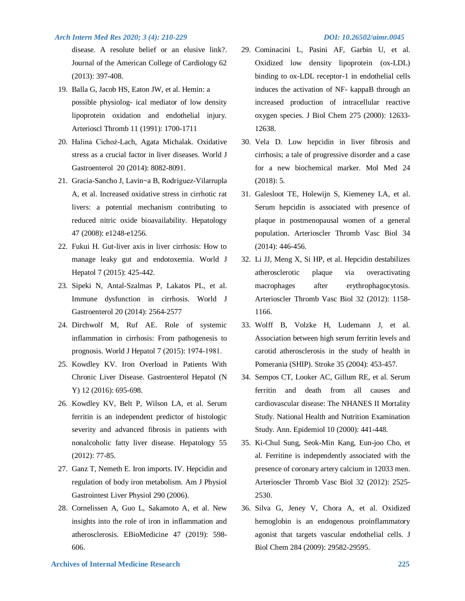disease. A resolute belief or an elusive link?. Journal of the American College of Cardiology 62 (2013): 397-408.

- 19. Balla G, Jacob HS, Eaton JW, et al. Hemin: a possible physiolog- ical mediator of low density lipoprotein oxidation and endothelial injury. Arterioscl Thromb 11 (1991): 1700-1711
- 20. Halina Cichoż-Lach, Agata Michalak. Oxidative stress as a crucial factor in liver diseases. World J Gastroenterol 20 (2014): 8082-8091.
- 21. Gracia-Sancho J, Lavin~a B, Rodríguez-Vilarrupla A, et al. Increased oxidative stress in cirrhotic rat livers: a potential mechanism contributing to reduced nitric oxide bioavailability. Hepatology 47 (2008): e1248-e1256.
- 22. Fukui H. Gut-liver axis in liver cirrhosis: How to manage leaky gut and endotoxemia. World J Hepatol 7 (2015): 425-442.
- 23. Sipeki N, Antal-Szalmas P, Lakatos PL, et al. Immune dysfunction in cirrhosis. World J Gastroenterol 20 (2014): 2564-2577
- 24. Dirchwolf M, Ruf AE. Role of systemic inflammation in cirrhosis: From pathogenesis to prognosis. World J Hepatol 7 (2015): 1974‐1981.
- 25. Kowdley KV. Iron Overload in Patients With Chronic Liver Disease. Gastroenterol Hepatol (N Y) 12 (2016): 695-698.
- 26. Kowdley KV, Belt P, Wilson LA, et al. Serum ferritin is an independent predictor of histologic severity and advanced fibrosis in patients with nonalcoholic fatty liver disease. Hepatology 55 (2012): 77-85.
- 27. Ganz T, Nemeth E. Iron imports. IV. Hepcidin and regulation of body iron metabolism. Am J Physiol Gastrointest Liver Physiol 290 (2006).
- 28. Cornelissen A, Guo L, Sakamoto A, et al. New insights into the role of iron in inflammation and atherosclerosis. EBioMedicine 47 (2019): 598- 606.

- 29. Cominacini L, Pasini AF, Garbin U, et al. Oxidized low density lipoprotein (ox-LDL) binding to ox-LDL receptor-1 in endothelial cells induces the activation of NF- kappaB through an increased production of intracellular reactive oxygen species. J Biol Chem 275 (2000): 12633- 12638.
- 30. Vela D. Low hepcidin in liver fibrosis and cirrhosis; a tale of progressive disorder and a case for a new biochemical marker. Mol Med 24 (2018): 5.
- 31. Galesloot TE, Holewijn S, Kiemeney LA, et al. Serum hepcidin is associated with presence of plaque in postmenopausal women of a general population. Arterioscler Thromb Vasc Biol 34 (2014): 446-456.
- 32. Li JJ, Meng X, Si HP, et al. Hepcidin destabilizes atherosclerotic plaque via overactivating macrophages after erythrophagocytosis. Arterioscler Thromb Vasc Biol 32 (2012): 1158- 1166.
- 33. Wolff B, Volzke H, Ludemann J, et al. Association between high serum ferritin levels and carotid atherosclerosis in the study of health in Pomerania (SHIP). Stroke 35 (2004): 453-457.
- 34. Sempos CT, Looker AC, Gillum RE, et al. Serum ferritin and death from all causes and cardiovascular disease: The NHANES II Mortality Study. National Health and Nutrition Examination Study. Ann. Epidemiol 10 (2000): 441-448.
- 35. Ki-Chul Sung, Seok-Min Kang, Eun-joo Cho, et al. Ferritine is independently associated with the presence of coronary artery calcium in 12033 men. Arterioscler Thromb Vasc Biol 32 (2012): 2525- 2530.
- 36. Silva G, Jeney V, Chora A, et al. Oxidized hemoglobin is an endogenous proinflammatory agonist that targets vascular endothelial cells. J Biol Chem 284 (2009): 29582-29595.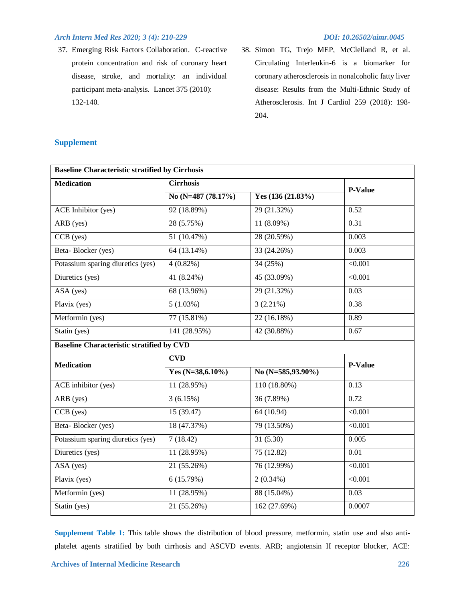37. Emerging Risk Factors Collaboration. C-reactive protein concentration and risk of coronary heart disease, stroke, and mortality: an individual participant meta-analysis. Lancet 375 (2010): 132-140.

38. Simon TG, Trejo MEP, McClelland R, et al. Circulating Interleukin-6 is a biomarker for coronary atherosclerosis in nonalcoholic fatty liver disease: Results from the Multi-Ethnic Study of Atherosclerosis. Int J Cardiol 259 (2018): 198- 204.

| <b>Baseline Characteristic stratified by Cirrhosis</b> |                     |                       |                |  |
|--------------------------------------------------------|---------------------|-----------------------|----------------|--|
| <b>Cirrhosis</b><br><b>Medication</b>                  |                     |                       | <b>P-Value</b> |  |
|                                                        | No (N=487 (78.17%)  | Yes $(136 (21.83%)$   |                |  |
| <b>ACE</b> Inhibitor (yes)                             | 92 (18.89%)         | 29 (21.32%)           | 0.52           |  |
| ARB (yes)                                              | 28 (5.75%)          | 11 (8.09%)            | 0.31           |  |
| $\overline{CCB(yes)}$                                  | 51(10.47%)          | 28 (20.59%)           | 0.003          |  |
| Beta-Blocker (yes)                                     | 64(13.14%)          | 33 (24.26%)           | 0.003          |  |
| Potassium sparing diuretics (yes)                      | $4(0.82\%)$         | 34(25%)               | $\sqrt{0.001}$ |  |
| Diuretics (yes)                                        | 41(8.24%)           | 45 (33.09%)           | $\sqrt{0.001}$ |  |
| ASA (yes)                                              | 68 (13.96%)         | 29 (21.32%)           | 0.03           |  |
| Plavix (yes)                                           | 5(1.03%)            | $3(2.21\%)$           | 0.38           |  |
| Metformin (yes)                                        | 77(15.81%)          | 22(16.18%)            | 0.89           |  |
| Statin (yes)                                           | 141(28.95%)         | 42 (30.88%)           | 0.67           |  |
| <b>Baseline Characteristic stratified by CVD</b>       |                     |                       |                |  |
| <b>Medication</b>                                      | <b>CVD</b>          |                       | P-Value        |  |
|                                                        | Yes $(N=38,6.10\%)$ | No $(N=585, 93.90\%)$ |                |  |
| ACE inhibitor (yes)                                    | 11(28.95%)          | $110(18.80\%)$        | 0.13           |  |
| ARB (yes)                                              | 3(6.15%)            | 36 (7.89%)            | 0.72           |  |
| $\overline{CCB(yes)}$                                  | 15(39.47)           | 64(10.94)             | $\sqrt{0.001}$ |  |
| Beta-Blocker (yes)                                     | 18(47.37%)          | 79 (13.50%)           | $\sqrt{0.001}$ |  |
| Potassium sparing diuretics (yes)                      | 7(18.42)            | 31(5.30)              | 0.005          |  |
| Diuretics (yes)                                        | 11 (28.95%)         | 75(12.82)             | 0.01           |  |
| $\overline{ASA(yes)}$                                  | 21(55.26%)          | 76 (12.99%)           | $\sqrt{0.001}$ |  |
| Plavix (yes)                                           | 6(15.79%)           | $2(0.34\%)$           | $\sqrt{0.001}$ |  |
| Metformin (yes)                                        | 11 (28.95%)         | 88 (15.04%)           | 0.03           |  |
| Statin (yes)                                           | 21(55.26%)          | 162(27.69%)           | 0.0007         |  |

# **Supplement**

**Supplement Table 1:** This table shows the distribution of blood pressure, metformin, statin use and also antiplatelet agents stratified by both cirrhosis and ASCVD events. ARB; angiotensin II receptor blocker, ACE: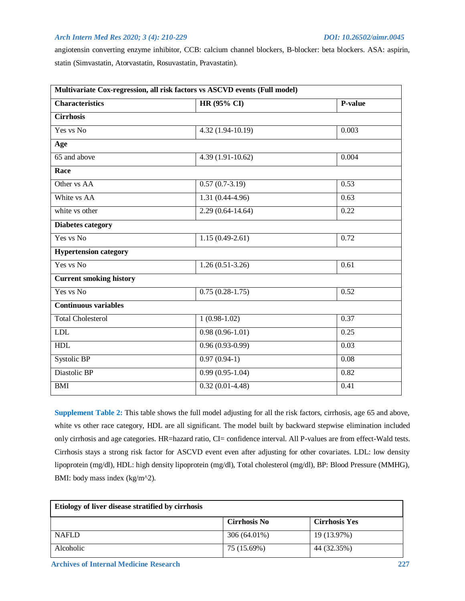angiotensin converting enzyme inhibitor, CCB: calcium channel blockers, B-blocker: beta blockers. ASA: aspirin, statin (Simvastatin, Atorvastatin, Rosuvastatin, Pravastatin).

| Multivariate Cox-regression, all risk factors vs ASCVD events (Full model) |                      |         |  |  |  |
|----------------------------------------------------------------------------|----------------------|---------|--|--|--|
| <b>Characteristics</b>                                                     | HR (95% CI)          | P-value |  |  |  |
| <b>Cirrhosis</b>                                                           |                      |         |  |  |  |
| Yes vs No                                                                  | $4.32(1.94-10.19)$   | 0.003   |  |  |  |
| Age                                                                        |                      |         |  |  |  |
| 65 and above                                                               | $4.39(1.91-10.62)$   | 0.004   |  |  |  |
| Race                                                                       |                      |         |  |  |  |
| Other vs AA                                                                | $0.57(0.7-3.19)$     | 0.53    |  |  |  |
| White vs AA                                                                | $1.31(0.44-4.96)$    | 0.63    |  |  |  |
| white vs other                                                             | $2.29(0.64 - 14.64)$ | 0.22    |  |  |  |
| <b>Diabetes category</b>                                                   |                      |         |  |  |  |
| Yes vs No                                                                  | $1.15(0.49-2.61)$    | 0.72    |  |  |  |
| <b>Hypertension category</b>                                               |                      |         |  |  |  |
| Yes vs No                                                                  | $1.26(0.51-3.26)$    | 0.61    |  |  |  |
| <b>Current smoking history</b>                                             |                      |         |  |  |  |
| Yes vs No                                                                  | $0.75(0.28-1.75)$    | 0.52    |  |  |  |
| <b>Continuous variables</b>                                                |                      |         |  |  |  |
| <b>Total Cholesterol</b>                                                   | $1(0.98-1.02)$       | 0.37    |  |  |  |
| <b>LDL</b>                                                                 | $0.98(0.96-1.01)$    | 0.25    |  |  |  |
| HDL                                                                        | $0.96(0.93-0.99)$    | 0.03    |  |  |  |
| Systolic BP                                                                | $0.97(0.94-1)$       | 0.08    |  |  |  |
| Diastolic BP                                                               | $0.99(0.95-1.04)$    | 0.82    |  |  |  |
| <b>BMI</b>                                                                 | $0.32(0.01-4.48)$    | 0.41    |  |  |  |

**Supplement Table 2:** This table shows the full model adjusting for all the risk factors, cirrhosis, age 65 and above, white vs other race category, HDL are all significant. The model built by backward stepwise elimination included only cirrhosis and age categories. HR=hazard ratio, CI= confidence interval. All P-values are from effect-Wald tests. Cirrhosis stays a strong risk factor for ASCVD event even after adjusting for other covariates. LDL: low density lipoprotein (mg/dl), HDL: high density lipoprotein (mg/dl), Total cholesterol (mg/dl), BP: Blood Pressure (MMHG), BMI: body mass index (kg/m^2).

| Etiology of liver disease stratified by cirrhosis |                     |                      |
|---------------------------------------------------|---------------------|----------------------|
|                                                   | <b>Cirrhosis No</b> | <b>Cirrhosis Yes</b> |
| <b>NAFLD</b>                                      | 306 (64.01%)        | 19 (13.97%)          |
| Alcoholic                                         | 75 (15.69%)         | 44 (32.35%)          |

 **Archives of Internal Medicine Research 227**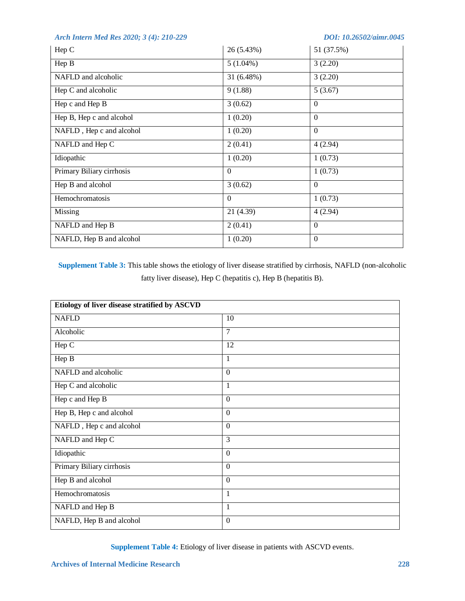| Hep C                     | 26 (5.43%)  | 51 (37.5%)       |
|---------------------------|-------------|------------------|
| Hep B                     | $5(1.04\%)$ | 3(2.20)          |
| NAFLD and alcoholic       | 31 (6.48%)  | 3(2.20)          |
| Hep C and alcoholic       | 9(1.88)     | 5(3.67)          |
| Hep c and Hep B           | 3(0.62)     | $\theta$         |
| Hep B, Hep c and alcohol  | 1(0.20)     | $\mathbf{0}$     |
| NAFLD, Hep c and alcohol  | 1(0.20)     | $\mathbf{0}$     |
| NAFLD and Hep C           | 2(0.41)     | 4(2.94)          |
| Idiopathic                | 1(0.20)     | 1(0.73)          |
| Primary Biliary cirrhosis | $\Omega$    | 1(0.73)          |
| Hep B and alcohol         | 3(0.62)     | $\Omega$         |
| Hemochromatosis           | $\theta$    | 1(0.73)          |
| Missing                   | 21 (4.39)   | 4(2.94)          |
| NAFLD and Hep B           | 2(0.41)     | $\mathbf{0}$     |
| NAFLD, Hep B and alcohol  | 1(0.20)     | $\boldsymbol{0}$ |

**Supplement Table 3:** This table shows the etiology of liver disease stratified by cirrhosis, NAFLD (non-alcoholic fatty liver disease), Hep C (hepatitis c), Hep B (hepatitis B).

| Etiology of liver disease stratified by ASCVD |                  |  |
|-----------------------------------------------|------------------|--|
| <b>NAFLD</b>                                  | 10               |  |
| Alcoholic                                     | 7                |  |
| Hep C                                         | 12               |  |
| Hep B                                         | 1                |  |
| NAFLD and alcoholic                           | $\boldsymbol{0}$ |  |
| Hep C and alcoholic                           | 1                |  |
| Hep c and Hep B                               | $\boldsymbol{0}$ |  |
| Hep B, Hep c and alcohol                      | $\boldsymbol{0}$ |  |
| NAFLD, Hep c and alcohol                      | $\overline{0}$   |  |
| NAFLD and Hep C                               | 3                |  |
| Idiopathic                                    | $\mathbf{0}$     |  |
| Primary Biliary cirrhosis                     | $\boldsymbol{0}$ |  |
| Hep B and alcohol                             | $\boldsymbol{0}$ |  |
| Hemochromatosis                               | 1                |  |
| NAFLD and Hep B                               | 1                |  |
| NAFLD, Hep B and alcohol                      | $\mathbf{0}$     |  |

**Supplement Table 4:** Etiology of liver disease in patients with ASCVD events.